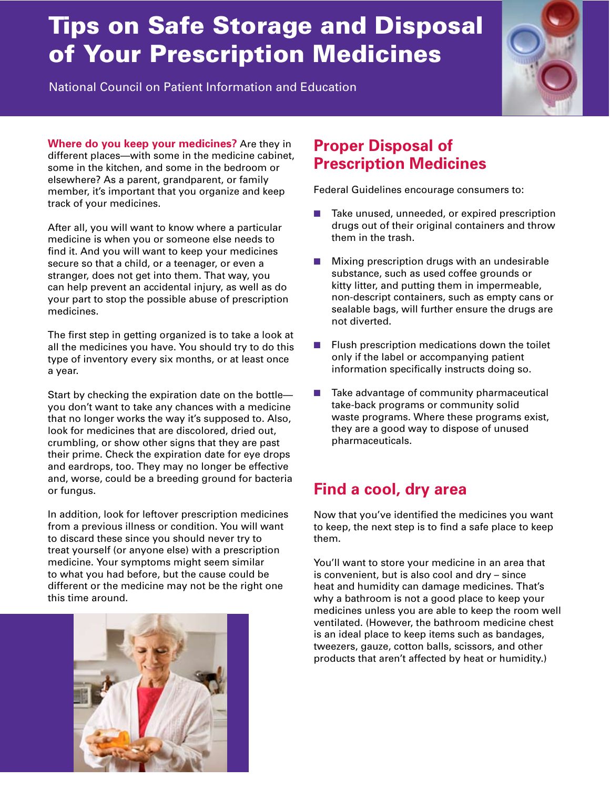# Tips on Safe Storage and Disposal of Your Prescription Medicines

National Council on Patient Information and Education



**Where do you keep your medicines?** Are they in different places—with some in the medicine cabinet, some in the kitchen, and some in the bedroom or elsewhere? As a parent, grandparent, or family member, it's important that you organize and keep track of your medicines.

After all, you will want to know where a particular medicine is when you or someone else needs to find it. And you will want to keep your medicines secure so that a child, or a teenager, or even a stranger, does not get into them. That way, you can help prevent an accidental injury, as well as do your part to stop the possible abuse of prescription medicines.

The first step in getting organized is to take a look at all the medicines you have. You should try to do this type of inventory every six months, or at least once a year.

Start by checking the expiration date on the bottle you don't want to take any chances with a medicine that no longer works the way it's supposed to. Also, look for medicines that are discolored, dried out, crumbling, or show other signs that they are past their prime. Check the expiration date for eye drops and eardrops, too. They may no longer be effective and, worse, could be a breeding ground for bacteria or fungus.

In addition, look for leftover prescription medicines from a previous illness or condition. You will want to discard these since you should never try to treat yourself (or anyone else) with a prescription medicine. Your symptoms might seem similar to what you had before, but the cause could be different or the medicine may not be the right one this time around.



## **Proper Disposal of Prescription Medicines**

Federal Guidelines encourage consumers to:

- Take unused, unneeded, or expired prescription drugs out of their original containers and throw them in the trash.
- $\blacksquare$  Mixing prescription drugs with an undesirable substance, such as used coffee grounds or kitty litter, and putting them in impermeable, non-descript containers, such as empty cans or sealable bags, will further ensure the drugs are not diverted.
- $\blacksquare$  Flush prescription medications down the toilet only if the label or accompanying patient information specifically instructs doing so.
- $\blacksquare$  Take advantage of community pharmaceutical take-back programs or community solid waste programs. Where these programs exist, they are a good way to dispose of unused pharmaceuticals.

### **Find a cool, dry area**

Now that you've identified the medicines you want to keep, the next step is to find a safe place to keep them.

You'll want to store your medicine in an area that is convenient, but is also cool and dry – since heat and humidity can damage medicines. That's why a bathroom is not a good place to keep your medicines unless you are able to keep the room well ventilated. (However, the bathroom medicine chest is an ideal place to keep items such as bandages, tweezers, gauze, cotton balls, scissors, and other products that aren't affected by heat or humidity.)